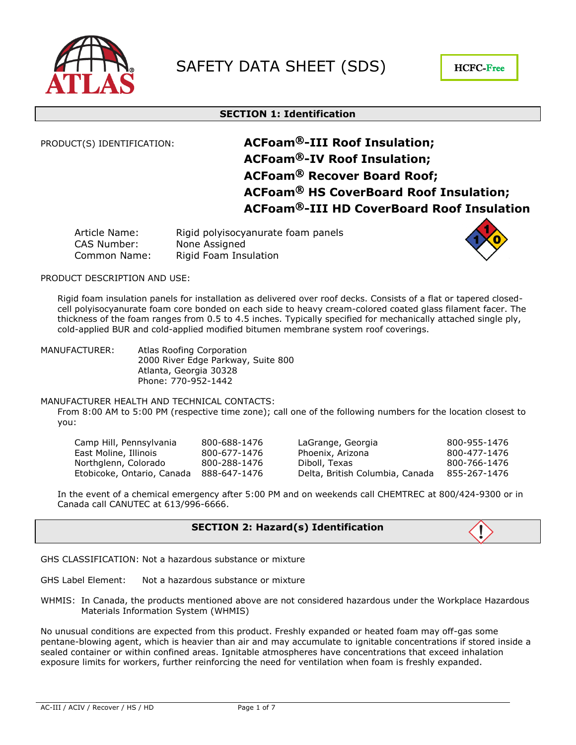

# **SECTION 1: Identification**

# PRODUCT(S) IDENTIFICATION: **ACFoam-III Roof Insulation; ACFoam-IV Roof Insulation; ACFoam<sup>®</sup> Recover Board Roof; ACFoam HS CoverBoard Roof Insulation; ACFoam-III HD CoverBoard Roof Insulation**

| Article Name: | Rigid polyisocyanurate foam panels |
|---------------|------------------------------------|
| CAS Number:   | None Assigned                      |
| Common Name:  | Rigid Foam Insulation              |



### PRODUCT DESCRIPTION AND USE:

Rigid foam insulation panels for installation as delivered over roof decks. Consists of a flat or tapered closedcell polyisocyanurate foam core bonded on each side to heavy cream-colored coated glass filament facer. The thickness of the foam ranges from 0.5 to 4.5 inches. Typically specified for mechanically attached single ply, cold-applied BUR and cold-applied modified bitumen membrane system roof coverings.

MANUFACTURER: Atlas Roofing Corporation 2000 River Edge Parkway, Suite 800 Atlanta, Georgia 30328 Phone: 770-952-1442

### MANUFACTURER HEALTH AND TECHNICAL CONTACTS:

From 8:00 AM to 5:00 PM (respective time zone); call one of the following numbers for the location closest to you:

| Camp Hill, Pennsylvania    | 800-688-1476 | LaGrange, Georgia               | 800-955-1476 |
|----------------------------|--------------|---------------------------------|--------------|
| East Moline, Illinois      | 800-677-1476 | Phoenix, Arizona                | 800-477-1476 |
| Northglenn, Colorado       | 800-288-1476 | Diboll, Texas                   | 800-766-1476 |
| Etobicoke, Ontario, Canada | 888-647-1476 | Delta, British Columbia, Canada | 855-267-1476 |

In the event of a chemical emergency after 5:00 PM and on weekends call CHEMTREC at 800/424-9300 or in Canada call CANUTEC at 613/996-6666.

# **SECTION 2: Hazard(s) Identification**

GHS CLASSIFICATION: Not a hazardous substance or mixture

- GHS Label Element: Not a hazardous substance or mixture
- WHMIS: In Canada, the products mentioned above are not considered hazardous under the Workplace Hazardous Materials Information System (WHMIS)

No unusual conditions are expected from this product. Freshly expanded or heated foam may off-gas some pentane-blowing agent, which is heavier than air and may accumulate to ignitable concentrations if stored inside a sealed container or within confined areas. Ignitable atmospheres have concentrations that exceed inhalation exposure limits for workers, further reinforcing the need for ventilation when foam is freshly expanded.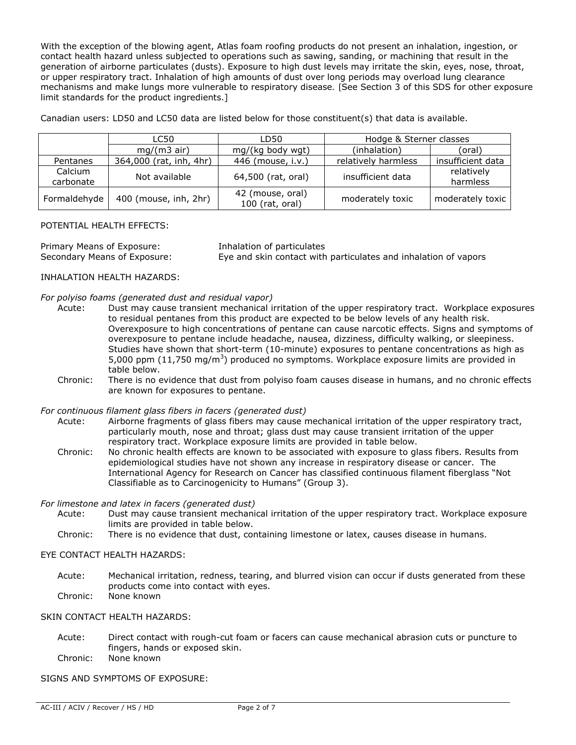With the exception of the blowing agent, Atlas foam roofing products do not present an inhalation, ingestion, or contact health hazard unless subjected to operations such as sawing, sanding, or machining that result in the generation of airborne particulates (dusts). Exposure to high dust levels may irritate the skin, eyes, nose, throat, or upper respiratory tract. Inhalation of high amounts of dust over long periods may overload lung clearance mechanisms and make lungs more vulnerable to respiratory disease. [See Section 3 of this SDS for other exposure limit standards for the product ingredients.]

Canadian users: LD50 and LC50 data are listed below for those constituent(s) that data is available.

|                      | LC50                    | LD50                                | Hodge & Sterner classes |                        |  |
|----------------------|-------------------------|-------------------------------------|-------------------------|------------------------|--|
|                      | $mq/(m3$ air)           | mg/(kg body wgt)                    | (inhalation)            | (oral)                 |  |
| Pentanes             | 364,000 (rat, inh, 4hr) | 446 (mouse, i.v.)                   | relatively harmless     | insufficient data      |  |
| Calcium<br>carbonate | Not available           | 64,500 (rat, oral)                  | insufficient data       | relatively<br>harmless |  |
| Formaldehyde         | 400 (mouse, inh, 2hr)   | 42 (mouse, oral)<br>100 (rat, oral) | moderately toxic        | moderately toxic       |  |

### POTENTIAL HEALTH EFFECTS:

Primary Means of Exposure: Inhalation of particulates

Secondary Means of Exposure: Eye and skin contact with particulates and inhalation of vapors

# INHALATION HEALTH HAZARDS:

### *For polyiso foams (generated dust and residual vapor)*

- Acute: Dust may cause transient mechanical irritation of the upper respiratory tract. Workplace exposures to residual pentanes from this product are expected to be below levels of any health risk. Overexposure to high concentrations of pentane can cause narcotic effects. Signs and symptoms of overexposure to pentane include headache, nausea, dizziness, difficulty walking, or sleepiness. Studies have shown that short-term (10-minute) exposures to pentane concentrations as high as 5,000 ppm (11,750 mg/m<sup>3</sup>) produced no symptoms. Workplace exposure limits are provided in table below.
	- Chronic: There is no evidence that dust from polyiso foam causes disease in humans, and no chronic effects are known for exposures to pentane.

### *For continuous filament glass fibers in facers (generated dust)*

- Acute: Airborne fragments of glass fibers may cause mechanical irritation of the upper respiratory tract, particularly mouth, nose and throat; glass dust may cause transient irritation of the upper respiratory tract. Workplace exposure limits are provided in table below.
- Chronic: No chronic health effects are known to be associated with exposure to glass fibers. Results from epidemiological studies have not shown any increase in respiratory disease or cancer. The International Agency for Research on Cancer has classified continuous filament fiberglass "Not Classifiable as to Carcinogenicity to Humans" (Group 3).

### *For limestone and latex in facers (generated dust)*

- Acute: Dust may cause transient mechanical irritation of the upper respiratory tract. Workplace exposure limits are provided in table below.
- Chronic: There is no evidence that dust, containing limestone or latex, causes disease in humans.

### EYE CONTACT HEALTH HAZARDS:

Acute: Mechanical irritation, redness, tearing, and blurred vision can occur if dusts generated from these products come into contact with eyes. Chronic: None known

### SKIN CONTACT HEALTH HAZARDS:

Acute: Direct contact with rough-cut foam or facers can cause mechanical abrasion cuts or puncture to fingers, hands or exposed skin. Chronic: None known

SIGNS AND SYMPTOMS OF EXPOSURE: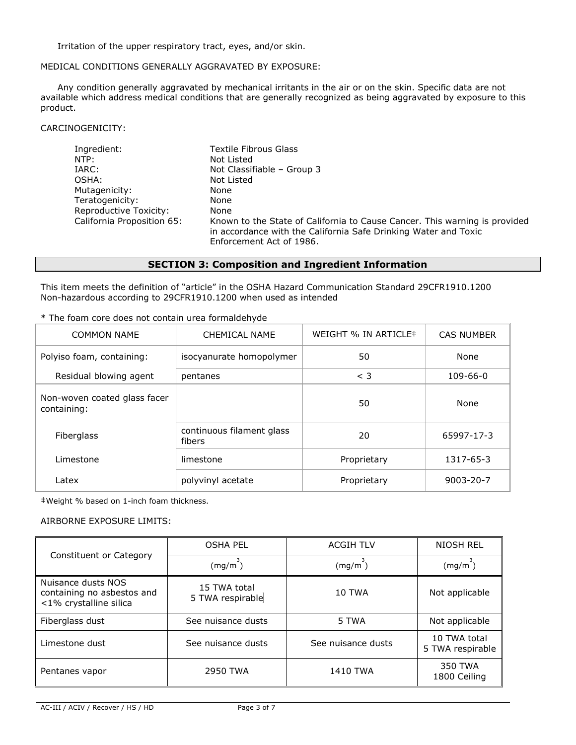Irritation of the upper respiratory tract, eyes, and/or skin.

### MEDICAL CONDITIONS GENERALLY AGGRAVATED BY EXPOSURE:

Any condition generally aggravated by mechanical irritants in the air or on the skin. Specific data are not available which address medical conditions that are generally recognized as being aggravated by exposure to this product.

### CARCINOGENICITY:

| Ingredient:                | <b>Textile Fibrous Glass</b>                                                                                                                                              |
|----------------------------|---------------------------------------------------------------------------------------------------------------------------------------------------------------------------|
| NTP:                       | Not Listed                                                                                                                                                                |
| IARC:                      | Not Classifiable - Group 3                                                                                                                                                |
| OSHA:                      | Not Listed                                                                                                                                                                |
| Mutagenicity:              | None                                                                                                                                                                      |
| Teratogenicity:            | None                                                                                                                                                                      |
| Reproductive Toxicity:     | None                                                                                                                                                                      |
| California Proposition 65: | Known to the State of California to Cause Cancer. This warning is provided<br>in accordance with the California Safe Drinking Water and Toxic<br>Enforcement Act of 1986. |

# **SECTION 3: Composition and Ingredient Information**

This item meets the definition of "article" in the OSHA Hazard Communication Standard 29CFR1910.1200 Non-hazardous according to 29CFR1910.1200 when used as intended

| * The foam core does not contain urea formaldehyde |
|----------------------------------------------------|
|----------------------------------------------------|

| <b>COMMON NAME</b>                          | CHEMICAL NAME                       | WEIGHT % IN ARTICLE# | <b>CAS NUMBER</b> |
|---------------------------------------------|-------------------------------------|----------------------|-------------------|
| Polyiso foam, containing:                   | isocyanurate homopolymer            | 50                   | None              |
| Residual blowing agent                      | pentanes                            | $<$ 3                | $109 - 66 - 0$    |
| Non-woven coated glass facer<br>containing: |                                     | 50                   | None              |
| Fiberglass                                  | continuous filament glass<br>fibers | 20                   | 65997-17-3        |
| Limestone                                   | limestone                           | Proprietary          | 1317-65-3         |
| Latex                                       | polyvinyl acetate                   | Proprietary          | $9003 - 20 - 7$   |

‡Weight % based on 1-inch foam thickness.

### AIRBORNE EXPOSURE LIMITS:

|                                                                            | <b>OSHA PEL</b>                  | <b>ACGIH TLV</b>   | NIOSH REL                        |
|----------------------------------------------------------------------------|----------------------------------|--------------------|----------------------------------|
| Constituent or Category                                                    | (mg/m <sup>3</sup> )             | (mg/m)             | (mg/m)                           |
| Nuisance dusts NOS<br>containing no asbestos and<br><1% crystalline silica | 15 TWA total<br>5 TWA respirable | <b>10 TWA</b>      | Not applicable                   |
| Fiberglass dust                                                            | See nuisance dusts               | 5 TWA              | Not applicable                   |
| Limestone dust                                                             | See nuisance dusts               | See nuisance dusts | 10 TWA total<br>5 TWA respirable |
| Pentanes vapor                                                             | 2950 TWA                         | 1410 TWA           | 350 TWA<br>1800 Ceiling          |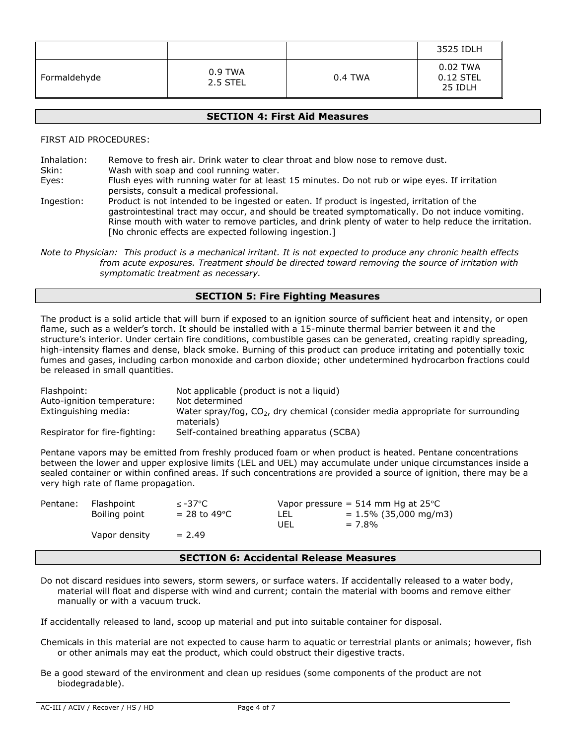|              |                     |         | 3525 IDLH                          |
|--------------|---------------------|---------|------------------------------------|
| Formaldehyde | 0.9 TWA<br>2.5 STEL | 0.4 TWA | 0.02 TWA<br>$0.12$ STEL<br>25 IDLH |

# **SECTION 4: First Aid Measures**

FIRST AID PROCEDURES:

| Inhalation: | Remove to fresh air. Drink water to clear throat and blow nose to remove dust.                                                                                                                                                                                                                                                                                   |
|-------------|------------------------------------------------------------------------------------------------------------------------------------------------------------------------------------------------------------------------------------------------------------------------------------------------------------------------------------------------------------------|
| Skin:       | Wash with soap and cool running water.                                                                                                                                                                                                                                                                                                                           |
| Eyes:       | Flush eyes with running water for at least 15 minutes. Do not rub or wipe eyes. If irritation                                                                                                                                                                                                                                                                    |
|             | persists, consult a medical professional.                                                                                                                                                                                                                                                                                                                        |
| Ingestion:  | Product is not intended to be ingested or eaten. If product is ingested, irritation of the<br>gastrointestinal tract may occur, and should be treated symptomatically. Do not induce vomiting.<br>Rinse mouth with water to remove particles, and drink plenty of water to help reduce the irritation.<br>[No chronic effects are expected following ingestion.] |

*Note to Physician: This product is a mechanical irritant. It is not expected to produce any chronic health effects from acute exposures. Treatment should be directed toward removing the source of irritation with symptomatic treatment as necessary.*

# **SECTION 5: Fire Fighting Measures**

The product is a solid article that will burn if exposed to an ignition source of sufficient heat and intensity, or open flame, such as a welder's torch. It should be installed with a 15-minute thermal barrier between it and the structure's interior. Under certain fire conditions, combustible gases can be generated, creating rapidly spreading, high-intensity flames and dense, black smoke. Burning of this product can produce irritating and potentially toxic fumes and gases, including carbon monoxide and carbon dioxide; other undetermined hydrocarbon fractions could be released in small quantities.

| Flashpoint:                   | Not applicable (product is not a liquid)                                                        |
|-------------------------------|-------------------------------------------------------------------------------------------------|
| Auto-ignition temperature:    | Not determined                                                                                  |
| Extinguishing media:          | Water spray/fog, $CO2$ , dry chemical (consider media appropriate for surrounding<br>materials) |
| Respirator for fire-fighting: | Self-contained breathing apparatus (SCBA)                                                       |

Pentane vapors may be emitted from freshly produced foam or when product is heated. Pentane concentrations between the lower and upper explosive limits (LEL and UEL) may accumulate under unique circumstances inside a sealed container or within confined areas. If such concentrations are provided a source of ignition, there may be a very high rate of flame propagation.

| Pentane: | Flashpoint    | ≤ -37°C         | Vapor pressure = $514$ mm Hg at $25^{\circ}$ C |                          |
|----------|---------------|-----------------|------------------------------------------------|--------------------------|
|          | Boiling point | $= 28$ to 49 °C | LEL                                            | $= 1.5\%$ (35,000 mg/m3) |
|          |               |                 | UEL                                            | $= 7.8\%$                |
|          | Vapor density | $= 2.49$        |                                                |                          |
|          |               |                 |                                                |                          |

# **SECTION 6: Accidental Release Measures**

Do not discard residues into sewers, storm sewers, or surface waters. If accidentally released to a water body, material will float and disperse with wind and current; contain the material with booms and remove either manually or with a vacuum truck.

If accidentally released to land, scoop up material and put into suitable container for disposal.

- Chemicals in this material are not expected to cause harm to aquatic or terrestrial plants or animals; however, fish or other animals may eat the product, which could obstruct their digestive tracts.
- Be a good steward of the environment and clean up residues (some components of the product are not biodegradable).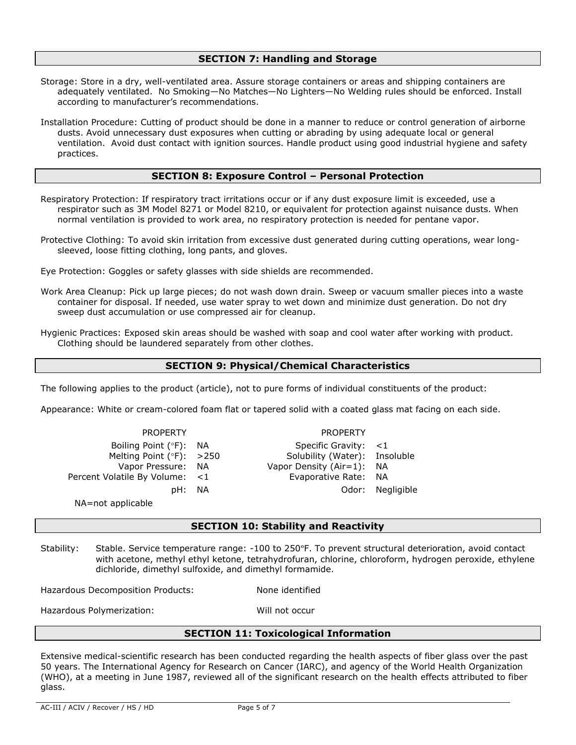# **SECTION 7: Handling and Storage**

- Storage: Store in a dry, well-ventilated area. Assure storage containers or areas and shipping containers are adequately ventilated. No Smoking—No Matches—No Lighters—No Welding rules should be enforced. Install according to manufacturer's recommendations.
- Installation Procedure: Cutting of product should be done in a manner to reduce or control generation of airborne dusts. Avoid unnecessary dust exposures when cutting or abrading by using adequate local or general ventilation. Avoid dust contact with ignition sources. Handle product using good industrial hygiene and safety practices.

# **SECTION 8: Exposure Control – Personal Protection**

- Respiratory Protection: If respiratory tract irritations occur or if any dust exposure limit is exceeded, use a respirator such as 3M Model 8271 or Model 8210, or equivalent for protection against nuisance dusts. When normal ventilation is provided to work area, no respiratory protection is needed for pentane vapor.
- Protective Clothing: To avoid skin irritation from excessive dust generated during cutting operations, wear longsleeved, loose fitting clothing, long pants, and gloves.
- Eye Protection: Goggles or safety glasses with side shields are recommended.
- Work Area Cleanup: Pick up large pieces; do not wash down drain. Sweep or vacuum smaller pieces into a waste container for disposal. If needed, use water spray to wet down and minimize dust generation. Do not dry sweep dust accumulation or use compressed air for cleanup.
- Hygienic Practices: Exposed skin areas should be washed with soap and cool water after working with product. Clothing should be laundered separately from other clothes.

### **SECTION 9: Physical/Chemical Characteristics**

The following applies to the product (article), not to pure forms of individual constituents of the product:

Appearance: White or cream-colored foam flat or tapered solid with a coated glass mat facing on each side.

PROPERTY PROPERTY Boiling Point (°F): NA Specific Gravity: <1<br>Melting Point (°F): >250 Solubility (Water): Ins Melting Point (°F): >250 Solubility (Water): Insoluble Vapor Pressure: NA Vapor Density (Air=1): NA Percent Volatile By Volume: <1 Evaporative Rate: NA pH: NA Odor: Negligible

NA=not applicable

**SECTION 10: Stability and Reactivity**

Stability: Stable. Service temperature range: -100 to 250°F. To prevent structural deterioration, avoid contact with acetone, methyl ethyl ketone, tetrahydrofuran, chlorine, chloroform, hydrogen peroxide, ethylene dichloride, dimethyl sulfoxide, and dimethyl formamide.

Hazardous Decomposition Products: None identified

Hazardous Polymerization: Will not occur

### **SECTION 11: Toxicological Information**

Extensive medical-scientific research has been conducted regarding the health aspects of fiber glass over the past 50 years. The International Agency for Research on Cancer (IARC), and agency of the World Health Organization (WHO), at a meeting in June 1987, reviewed all of the significant research on the health effects attributed to fiber glass.

AC-III / ACIV / Recover / HS / HD Page 5 of 7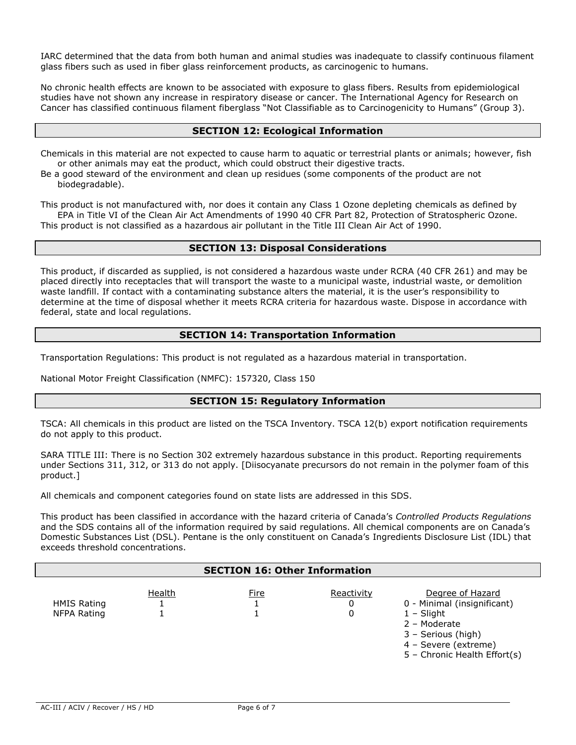IARC determined that the data from both human and animal studies was inadequate to classify continuous filament glass fibers such as used in fiber glass reinforcement products, as carcinogenic to humans.

No chronic health effects are known to be associated with exposure to glass fibers. Results from epidemiological studies have not shown any increase in respiratory disease or cancer. The International Agency for Research on Cancer has classified continuous filament fiberglass "Not Classifiable as to Carcinogenicity to Humans" (Group 3).

# **SECTION 12: Ecological Information**

Chemicals in this material are not expected to cause harm to aquatic or terrestrial plants or animals; however, fish or other animals may eat the product, which could obstruct their digestive tracts.

Be a good steward of the environment and clean up residues (some components of the product are not biodegradable).

This product is not manufactured with, nor does it contain any Class 1 Ozone depleting chemicals as defined by EPA in Title VI of the Clean Air Act Amendments of 1990 40 CFR Part 82, Protection of Stratospheric Ozone. This product is not classified as a hazardous air pollutant in the Title III Clean Air Act of 1990.

### **SECTION 13: Disposal Considerations**

This product, if discarded as supplied, is not considered a hazardous waste under RCRA (40 CFR 261) and may be placed directly into receptacles that will transport the waste to a municipal waste, industrial waste, or demolition waste landfill. If contact with a contaminating substance alters the material, it is the user's responsibility to determine at the time of disposal whether it meets RCRA criteria for hazardous waste. Dispose in accordance with federal, state and local regulations.

# **SECTION 14: Transportation Information**

Transportation Regulations: This product is not regulated as a hazardous material in transportation.

National Motor Freight Classification (NMFC): 157320, Class 150

### **SECTION 15: Regulatory Information**

TSCA: All chemicals in this product are listed on the TSCA Inventory. TSCA 12(b) export notification requirements do not apply to this product.

SARA TITLE III: There is no Section 302 extremely hazardous substance in this product. Reporting requirements under Sections 311, 312, or 313 do not apply. [Diisocyanate precursors do not remain in the polymer foam of this product.]

All chemicals and component categories found on state lists are addressed in this SDS.

This product has been classified in accordance with the hazard criteria of Canada's *Controlled Products Regulations* and the SDS contains all of the information required by said regulations. All chemical components are on Canada's Domestic Substances List (DSL). Pentane is the only constituent on Canada's Ingredients Disclosure List (IDL) that exceeds threshold concentrations.

| <b>SECTION 16: Other Information</b> |        |      |                      |                                                                                                                                                               |  |
|--------------------------------------|--------|------|----------------------|---------------------------------------------------------------------------------------------------------------------------------------------------------------|--|
| <b>HMIS Rating</b><br>NFPA Rating    | Health | Fire | Reactivity<br>0<br>0 | Degree of Hazard<br>0 - Minimal (insignificant)<br>$1 -$ Slight<br>2 - Moderate<br>3 - Serious (high)<br>4 - Severe (extreme)<br>5 - Chronic Health Effort(s) |  |